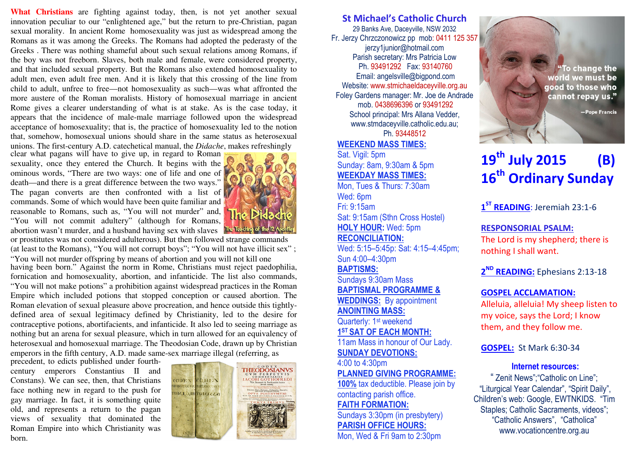**What Christians** are fighting against today, then, is not yet another sexual innovation peculiar to our "enlightened age," but the return to pre-Christian, pagan sexual morality. In ancient Rome homosexuality was just as widespread among the Romans as it was among the Greeks. The Romans had adopted the pederasty of the Greeks . There was nothing shameful about such sexual relations among Romans, if the boy was not freeborn. Slaves, both male and female, were considered property, and that included sexual property. But the Romans also extended homosexuality to adult men, even adult free men. And it is likely that this crossing of the line from child to adult, unfree to free—not homosexuality as such—was what affronted the more austere of the Roman moralists. History of homosexual marriage in ancient Rome gives a clearer understanding of what is at stake. As is the case today, it appears that the incidence of male-male marriage followed upon the widespread acceptance of homosexuality; that is, the practice of homosexuality led to the notion that, somehow, homosexual unions should share in the same status as heterosexual unions. The first-century A.D. catechetical manual, the *Didache*, makes refreshingly

clear what pagans will have to give up, in regard to Roman sexuality, once they entered the Church. It begins with the ominous words, "There are two ways: one of life and one of death—and there is a great difference between the two ways." The pagan converts are then confronted with a list of commands. Some of which would have been quite familiar and reasonable to Romans, such as, "You will not murder" and, "You will not commit adultery" (although for Romans, abortion wasn't murder, and a husband having sex with slaves



having been born." Against the norm in Rome, Christians must reject paedophilia, fornication and homosexuality, abortion, and infanticide. The list also commands, "You will not make potions" a prohibition against widespread practices in the Roman Empire which included potions that stopped conception or caused abortion. The Roman elevation of sexual pleasure above procreation, and hence outside this tightlydefined area of sexual legitimacy defined by Christianity, led to the desire for contraceptive potions, abortifacients, and infanticide. It also led to seeing marriage as nothing but an arena for sexual pleasure, which in turn allowed for an equivalency of heterosexual and homosexual marriage. The Theodosian Code, drawn up by Christian emperors in the fifth century, A.D. made same-sex marriage illegal (referring, as or prostitutes was not considered adulterous). But then followed strange commands (at least to the Romans), "You will not corrupt boys"; "You will not have illicit sex" ; "You will not murder offspring by means of abortion and you will not kill one

precedent, to edicts published under fourthcentury emperors Constantius II and Constans). We can see, then, that Christians face nothing new in regard to the push for gay marriage. In fact, it is something quite old, and represents a return to the pagan views of sexuality that dominated the Roman Empire into which Christianity was born.



#### St Michael's Catholic Church 29 Banks Ave, Daceyville, NSW 2032 Fr. Jerzy Chrzczonowicz pp mob: 0411 125 357jerzy1junior@hotmail.com Parish secretary: Mrs Patricia Low Ph. 93491292 Fax: 93140760 Email: angelsville@bigpond.com Website: www.stmichaeldaceyville.org.au Foley Gardens manager: Mr. Joe de Andrade mob. 0438696396 or 93491292 School principal: Mrs Allana Vedder, www.stmdaceyville.catholic.edu.au; Ph. 93448512

## WEEKEND MASS TIMES:

Sat. Vigil: 5pm Sunday: 8am, 9:30am & 5pm WEEKDAY MASS TIMES:

 Mon, Tues & Thurs: 7:30am Wed: 6pm Fri: 9:15am Sat: 9:15am (Sthn Cross Hostel) HOLY HOUR: Wed: 5pm RECONCILIATION:

 Wed: 5:15–5:45p: Sat: 4:15–4:45pm; Sun 4:00–4:30pm

BAPTISMS:

 Sundays 9:30am Mass BAPTISMAL PROGRAMME & WEDDINGS: By appointment

# ANOINTING MASS:

Quarterly: 1<sup>st</sup> weekend 1<sup>ST</sup> SAT OF EACH MONTH: 11am Mass in honour of Our Lady.

SUNDAY DEVOTIONS:

4:00 to 4:30pm

PLANNED GIVING PROGRAMME:

100% tax deductible. Please join by contacting parish office.

# FAITH FORMATION:

 Sundays 3:30pm (in presbytery) PARISH OFFICE HOURS:

Mon, Wed & Fri 9am to 2:30pm

"To change the world we must be good to those who cannot repay us."

-Pope Francis

# $19^{\text{th}}$  July 2015 (B) 16<sup>th</sup> Ordinary Sunday

1<sup>ST</sup> READING: Jeremiah 23:1-6

 $\mathcal{F}(\mathcal{F})$ 

 $\mathcal{M}$ 

RESPONSORIAL PSALM:

The Lord is my shepherd; there is nothing I shall want.

2<sup>ND</sup> READING: Ephesians 2:13-18

# GOSPEL ACCLAMATION:

Alleluia, alleluia! My sheep listen to my voice, says the Lord; I know them, and they follow me.

GOSPEL: St Mark 6:30-34

## Internet resources:

" Zenit News";"Catholic on Line"; "Liturgical Year Calendar", "Spirit Daily", Children's web: Google, EWTNKIDS. "Tim Staples; Catholic Sacraments, videos"; "Catholic Answers", "Catholica" www.vocationcentre.org.au